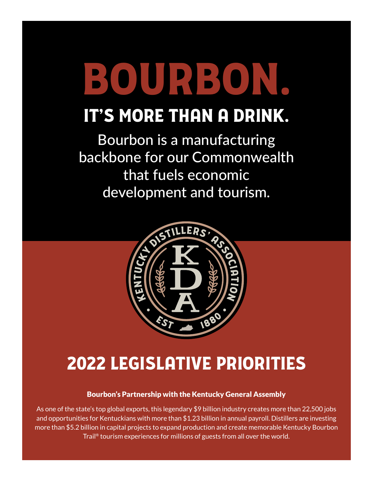# BOURBON.

# It's more than a drink.

Bourbon is a manufacturing backbone for our Commonwealth that fuels economic development and tourism.



# 2022 Legislative Priorities

# Bourbon's Partnership with the Kentucky General Assembly

As one of the state's top global exports, this legendary \$9 billion industry creates more than 22,500 jobs and opportunities for Kentuckians with more than \$1.23 billion in annual payroll. Distillers are investing more than \$5.2 billion in capital projects to expand production and create memorable Kentucky Bourbon Trail® tourism experiences for millions of guests from all over the world.